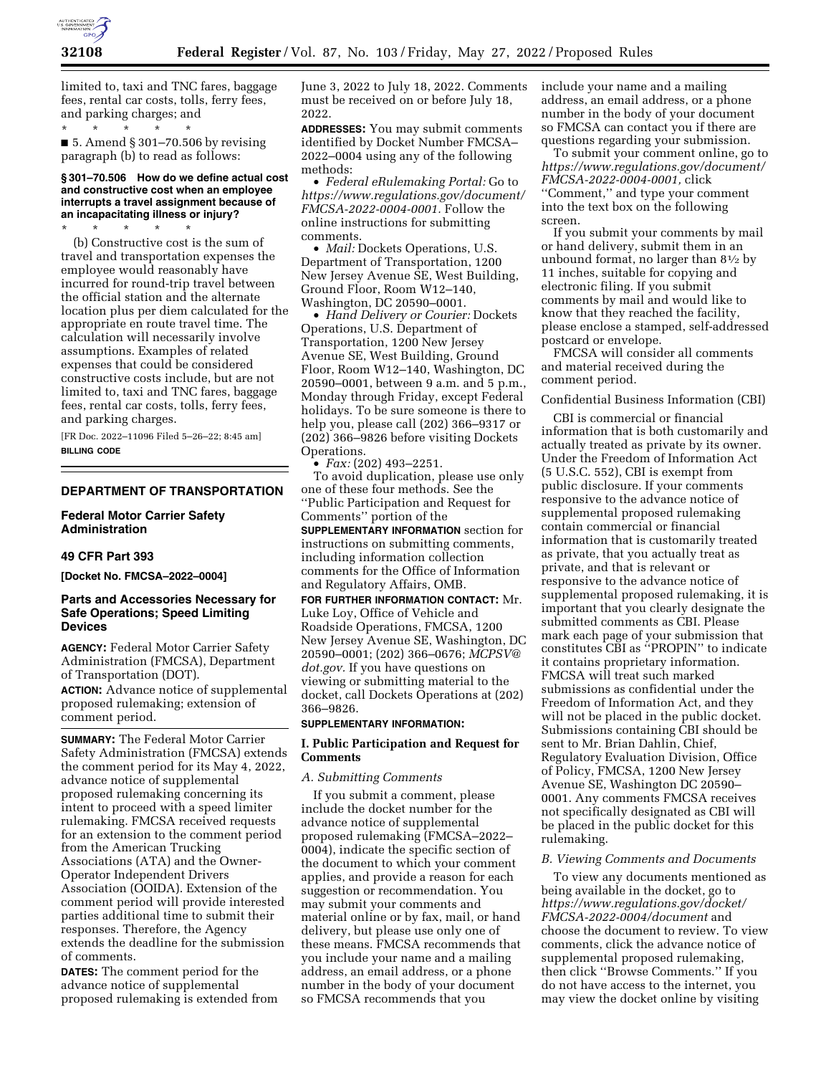

limited to, taxi and TNC fares, baggage fees, rental car costs, tolls, ferry fees, and parking charges; and

\* \* \* \* \*  $\blacksquare$  5. Amend § 301–70.506 by revising paragraph (b) to read as follows:

# **§ 301–70.506 How do we define actual cost and constructive cost when an employee interrupts a travel assignment because of an incapacitating illness or injury?**

\* \* \* \* \* (b) Constructive cost is the sum of travel and transportation expenses the employee would reasonably have incurred for round-trip travel between the official station and the alternate location plus per diem calculated for the appropriate en route travel time. The calculation will necessarily involve assumptions. Examples of related expenses that could be considered constructive costs include, but are not limited to, taxi and TNC fares, baggage fees, rental car costs, tolls, ferry fees, and parking charges.

[FR Doc. 2022–11096 Filed 5–26–22; 8:45 am] **BILLING CODE** 

# **DEPARTMENT OF TRANSPORTATION**

**Federal Motor Carrier Safety Administration** 

# **49 CFR Part 393**

**[Docket No. FMCSA–2022–0004]** 

# **Parts and Accessories Necessary for Safe Operations; Speed Limiting Devices**

**AGENCY:** Federal Motor Carrier Safety Administration (FMCSA), Department of Transportation (DOT). **ACTION:** Advance notice of supplemental proposed rulemaking; extension of comment period.

**SUMMARY:** The Federal Motor Carrier Safety Administration (FMCSA) extends the comment period for its May 4, 2022, advance notice of supplemental proposed rulemaking concerning its intent to proceed with a speed limiter rulemaking. FMCSA received requests for an extension to the comment period from the American Trucking Associations (ATA) and the Owner-Operator Independent Drivers Association (OOIDA). Extension of the comment period will provide interested parties additional time to submit their responses. Therefore, the Agency extends the deadline for the submission of comments.

**DATES:** The comment period for the advance notice of supplemental proposed rulemaking is extended from June 3, 2022 to July 18, 2022. Comments must be received on or before July 18, 2022.

**ADDRESSES:** You may submit comments identified by Docket Number FMCSA– 2022–0004 using any of the following methods:

• *Federal eRulemaking Portal:* Go to *[https://www.regulations.gov/document/](https://www.regulations.gov/document/FMCSA-2022-0004-0001)  [FMCSA-2022-0004-0001.](https://www.regulations.gov/document/FMCSA-2022-0004-0001)* Follow the online instructions for submitting comments.

• *Mail:* Dockets Operations, U.S. Department of Transportation, 1200 New Jersey Avenue SE, West Building, Ground Floor, Room W12–140, Washington, DC 20590–0001.

• *Hand Delivery or Courier:* Dockets Operations, U.S. Department of Transportation, 1200 New Jersey Avenue SE, West Building, Ground Floor, Room W12–140, Washington, DC 20590–0001, between 9 a.m. and 5 p.m., Monday through Friday, except Federal holidays. To be sure someone is there to help you, please call (202) 366–9317 or (202) 366–9826 before visiting Dockets Operations.

• *Fax:* (202) 493–2251.

To avoid duplication, please use only one of these four methods. See the ''Public Participation and Request for Comments'' portion of the

**SUPPLEMENTARY INFORMATION** section for instructions on submitting comments, including information collection comments for the Office of Information and Regulatory Affairs, OMB.

**FOR FURTHER INFORMATION CONTACT:** Mr. Luke Loy, Office of Vehicle and Roadside Operations, FMCSA, 1200 New Jersey Avenue SE, Washington, DC 20590–0001; (202) 366–0676; *[MCPSV@](mailto:MCPSV@dot.gov) [dot.gov.](mailto:MCPSV@dot.gov)* If you have questions on viewing or submitting material to the docket, call Dockets Operations at (202) 366–9826.

### **SUPPLEMENTARY INFORMATION:**

### **I. Public Participation and Request for Comments**

#### *A. Submitting Comments*

If you submit a comment, please include the docket number for the advance notice of supplemental proposed rulemaking (FMCSA–2022– 0004), indicate the specific section of the document to which your comment applies, and provide a reason for each suggestion or recommendation. You may submit your comments and material online or by fax, mail, or hand delivery, but please use only one of these means. FMCSA recommends that you include your name and a mailing address, an email address, or a phone number in the body of your document so FMCSA recommends that you

include your name and a mailing address, an email address, or a phone number in the body of your document so FMCSA can contact you if there are questions regarding your submission.

To submit your comment online, go to *[https://www.regulations.gov/document/](https://www.regulations.gov/document/FMCSA-2022-0004-0001)  [FMCSA-2022-0004-0001,](https://www.regulations.gov/document/FMCSA-2022-0004-0001)* click ''Comment,'' and type your comment into the text box on the following screen.

If you submit your comments by mail or hand delivery, submit them in an unbound format, no larger than  $8\frac{1}{2}$  by 11 inches, suitable for copying and electronic filing. If you submit comments by mail and would like to know that they reached the facility, please enclose a stamped, self-addressed postcard or envelope.

FMCSA will consider all comments and material received during the comment period.

### Confidential Business Information (CBI)

CBI is commercial or financial information that is both customarily and actually treated as private by its owner. Under the Freedom of Information Act (5 U.S.C. 552), CBI is exempt from public disclosure. If your comments responsive to the advance notice of supplemental proposed rulemaking contain commercial or financial information that is customarily treated as private, that you actually treat as private, and that is relevant or responsive to the advance notice of supplemental proposed rulemaking, it is important that you clearly designate the submitted comments as CBI. Please mark each page of your submission that constitutes CBI as ''PROPIN'' to indicate it contains proprietary information. FMCSA will treat such marked submissions as confidential under the Freedom of Information Act, and they will not be placed in the public docket. Submissions containing CBI should be sent to Mr. Brian Dahlin, Chief, Regulatory Evaluation Division, Office of Policy, FMCSA, 1200 New Jersey Avenue SE, Washington DC 20590– 0001. Any comments FMCSA receives not specifically designated as CBI will be placed in the public docket for this rulemaking.

#### *B. Viewing Comments and Documents*

To view any documents mentioned as being available in the docket, go to *[https://www.regulations.gov/docket/](https://www.regulations.gov/docket/FMCSA-2022-0004/document)  [FMCSA-2022-0004/document](https://www.regulations.gov/docket/FMCSA-2022-0004/document)* and choose the document to review. To view comments, click the advance notice of supplemental proposed rulemaking, then click ''Browse Comments.'' If you do not have access to the internet, you may view the docket online by visiting